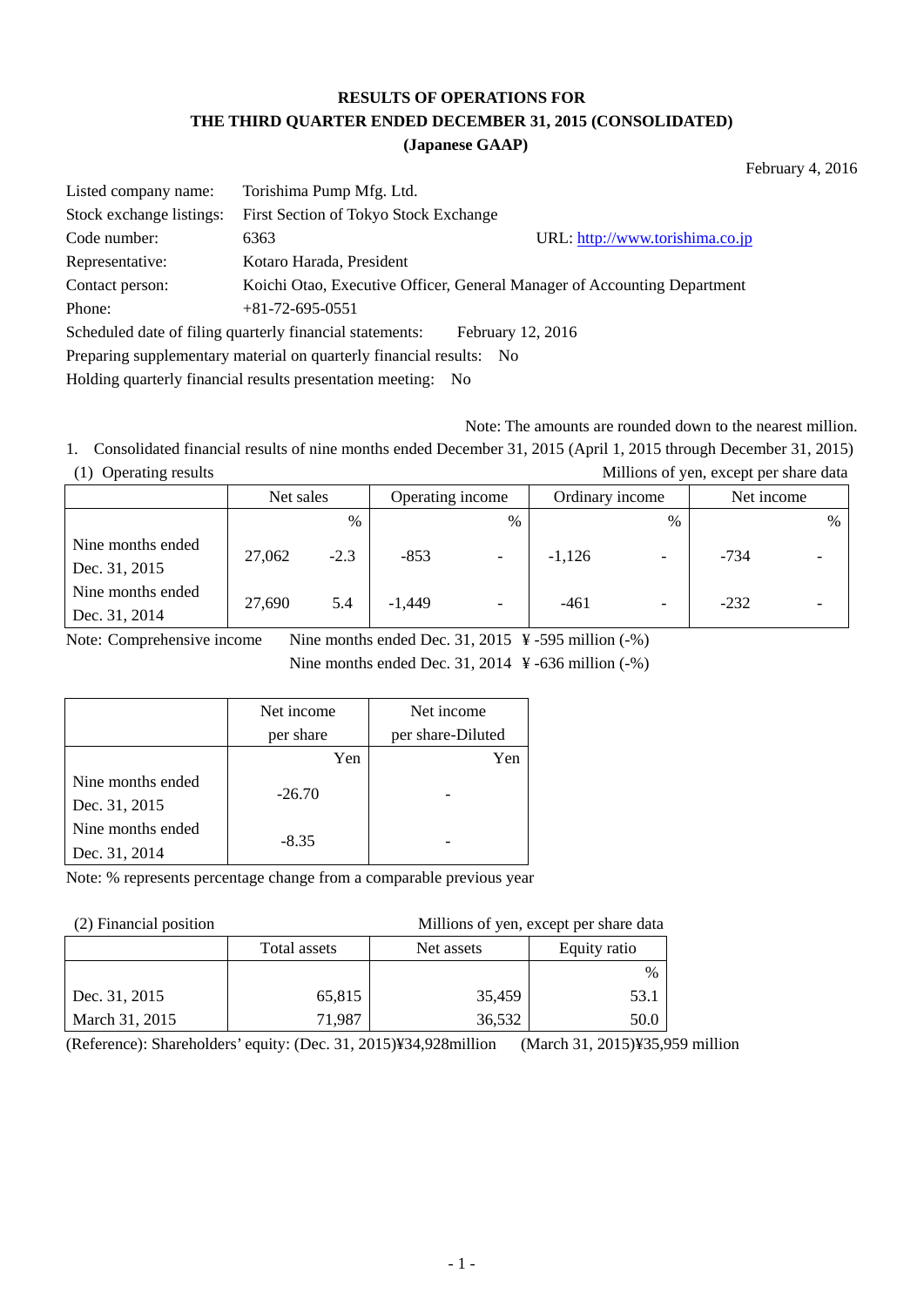# **RESULTS OF OPERATIONS FOR THE THIRD QUARTER ENDED DECEMBER 31, 2015 (CONSOLIDATED)**

#### **(Japanese GAAP)**

February 4, 2016

| Listed company name:                                                     | Torishima Pump Mfg. Ltd.                                 |                                                                          |  |  |
|--------------------------------------------------------------------------|----------------------------------------------------------|--------------------------------------------------------------------------|--|--|
| Stock exchange listings:                                                 | First Section of Tokyo Stock Exchange                    |                                                                          |  |  |
| Code number:                                                             | 6363                                                     | URL: http://www.torishima.co.jp                                          |  |  |
| Representative:                                                          | Kotaro Harada, President                                 |                                                                          |  |  |
| Contact person:                                                          |                                                          | Koichi Otao, Executive Officer, General Manager of Accounting Department |  |  |
| Phone:                                                                   | $+81-72-695-0551$                                        |                                                                          |  |  |
|                                                                          | Scheduled date of filing quarterly financial statements: | February 12, 2016                                                        |  |  |
| Preparing supplementary material on quarterly financial results:<br>- No |                                                          |                                                                          |  |  |
| Holding quarterly financial results presentation meeting: No             |                                                          |                                                                          |  |  |

Note: The amounts are rounded down to the nearest million.

1. Consolidated financial results of nine months ended December 31, 2015 (April 1, 2015 through December 31, 2015) (1) Operating results Millions of yen, except per share data

|                                    | Net sales |        | Operating income |                          | Ordinary income |                          | Net income |               |
|------------------------------------|-----------|--------|------------------|--------------------------|-----------------|--------------------------|------------|---------------|
|                                    |           | %      |                  | $\%$                     |                 | $\%$                     |            | $\frac{0}{0}$ |
| Nine months ended<br>Dec. 31, 2015 | 27,062    | $-2.3$ | $-853$           | $\overline{\phantom{a}}$ | $-1.126$        | $\overline{\phantom{0}}$ | $-734$     |               |
| Nine months ended<br>Dec. 31, 2014 | 27,690    | 5.4    | $-1,449$         | $\overline{\phantom{0}}$ | $-461$          | $\overline{\phantom{0}}$ | $-232$     |               |

Note: Comprehensive income Nine months ended Dec. 31, 2015 ¥ -595 million (-%)

Nine months ended Dec. 31, 2014 ¥ -636 million (-%)

|                   | Net income | Net income        |
|-------------------|------------|-------------------|
|                   | per share  | per share-Diluted |
|                   | Yen        | Yen               |
| Nine months ended | $-26.70$   |                   |
| Dec. 31, 2015     |            |                   |
| Nine months ended | $-8.35$    |                   |
| Dec. 31, 2014     |            |                   |

Note: % represents percentage change from a comparable previous year

(2) Financial position Millions of yen, except per share data

|                | Total assets | Net assets | Equity ratio |
|----------------|--------------|------------|--------------|
|                |              |            | $\%$         |
| Dec. 31, 2015  | 65,815       | 35,459     | 53.1         |
| March 31, 2015 | 71.987       | 36,532     | 50.0         |

(Reference): Shareholders' equity: (Dec. 31, 2015)¥34,928million (March 31, 2015)¥35,959 million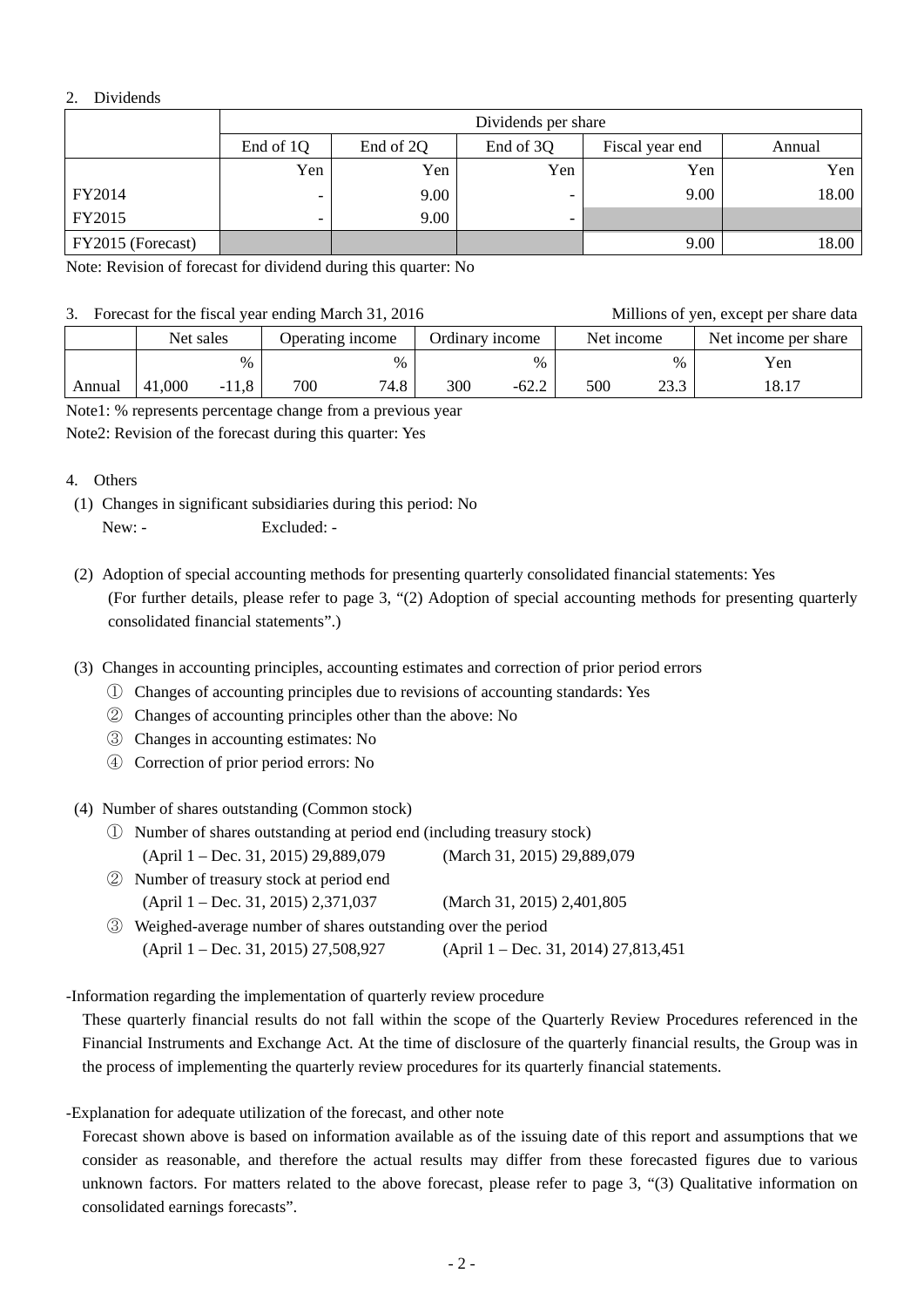### 2. Dividends

|                   | Dividends per share |                                                     |                          |      |       |  |  |  |  |
|-------------------|---------------------|-----------------------------------------------------|--------------------------|------|-------|--|--|--|--|
|                   | End of 1Q           | End of 2Q<br>End of 3Q<br>Fiscal year end<br>Annual |                          |      |       |  |  |  |  |
|                   | Yen                 | Yen                                                 | Yen                      | Yen  | Yen   |  |  |  |  |
| FY2014            | -                   | 9.00                                                |                          | 9.00 | 18.00 |  |  |  |  |
| FY2015            | -                   | 9.00                                                | $\overline{\phantom{0}}$ |      |       |  |  |  |  |
| FY2015 (Forecast) |                     |                                                     |                          | 9.00 | 18.00 |  |  |  |  |

Note: Revision of forecast for dividend during this quarter: No

#### 3. Forecast for the fiscal year ending March 31, 2016 Millions of yen, except per share data

| TURCASE TOT the fiscal year chung ividien 31, 2010 |                               |         |                 |               |            |         |                      |      | TVIIIIOIIS OF VUII, CACUPE PUI SHAFU GALA |  |
|----------------------------------------------------|-------------------------------|---------|-----------------|---------------|------------|---------|----------------------|------|-------------------------------------------|--|
|                                                    | Net sales<br>Operating income |         | Ordinary income |               | Net income |         | Net income per share |      |                                           |  |
|                                                    |                               | $\%$    |                 | $\frac{0}{0}$ |            | $\%$    |                      | $\%$ | Yen                                       |  |
| Annual                                             | 41,000                        | $-11.8$ | 700             | 74.8          | 300        | $-62.2$ | 500                  | 23.3 | 18.17                                     |  |

Note1: % represents percentage change from a previous year

Note2: Revision of the forecast during this quarter: Yes

#### 4. Others

- (1) Changes in significant subsidiaries during this period: No New: - Excluded: -
- (2) Adoption of special accounting methods for presenting quarterly consolidated financial statements: Yes (For further details, please refer to page 3, "(2) Adoption of special accounting methods for presenting quarterly consolidated financial statements".)
- (3) Changes in accounting principles, accounting estimates and correction of prior period errors
	- ① Changes of accounting principles due to revisions of accounting standards: Yes
	- ② Changes of accounting principles other than the above: No
	- ③ Changes in accounting estimates: No
	- ④ Correction of prior period errors: No

(4) Number of shares outstanding (Common stock)

- ① Number of shares outstanding at period end (including treasury stock) (April 1 – Dec. 31, 2015) 29,889,079 (March 31, 2015) 29,889,079
- ② Number of treasury stock at period end (April 1 – Dec. 31, 2015) 2,371,037 (March 31, 2015) 2,401,805
- ③ Weighed-average number of shares outstanding over the period (April 1 – Dec. 31, 2015) 27,508,927 (April 1 – Dec. 31, 2014) 27,813,451

-Information regarding the implementation of quarterly review procedure

 These quarterly financial results do not fall within the scope of the Quarterly Review Procedures referenced in the Financial Instruments and Exchange Act. At the time of disclosure of the quarterly financial results, the Group was in the process of implementing the quarterly review procedures for its quarterly financial statements.

-Explanation for adequate utilization of the forecast, and other note

 Forecast shown above is based on information available as of the issuing date of this report and assumptions that we consider as reasonable, and therefore the actual results may differ from these forecasted figures due to various unknown factors. For matters related to the above forecast, please refer to page 3, "(3) Qualitative information on consolidated earnings forecasts".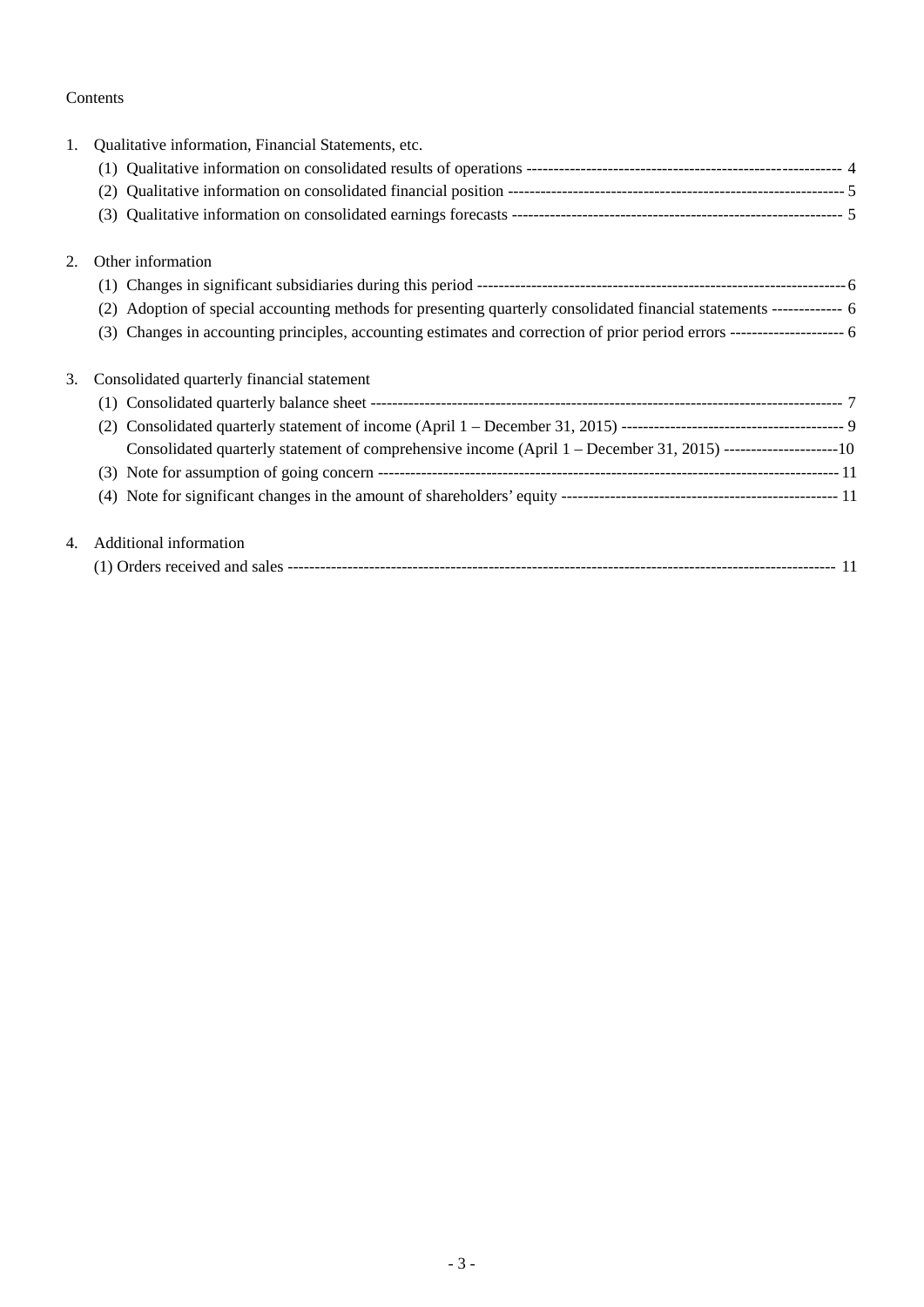# Contents

| 1. | Qualitative information, Financial Statements, etc.                                                                      |
|----|--------------------------------------------------------------------------------------------------------------------------|
|    |                                                                                                                          |
|    |                                                                                                                          |
|    | (3)                                                                                                                      |
| 2. | Other information                                                                                                        |
|    |                                                                                                                          |
|    | Adoption of special accounting methods for presenting quarterly consolidated financial statements ------------- 6<br>(2) |
|    | (3)                                                                                                                      |
| 3. | Consolidated quarterly financial statement                                                                               |
|    | (1)                                                                                                                      |
|    |                                                                                                                          |
|    | Consolidated quarterly statement of comprehensive income (April 1 – December 31, 2015) ----------------------10          |
|    | (3)                                                                                                                      |
|    | (4)                                                                                                                      |
| 4. | Additional information                                                                                                   |
|    |                                                                                                                          |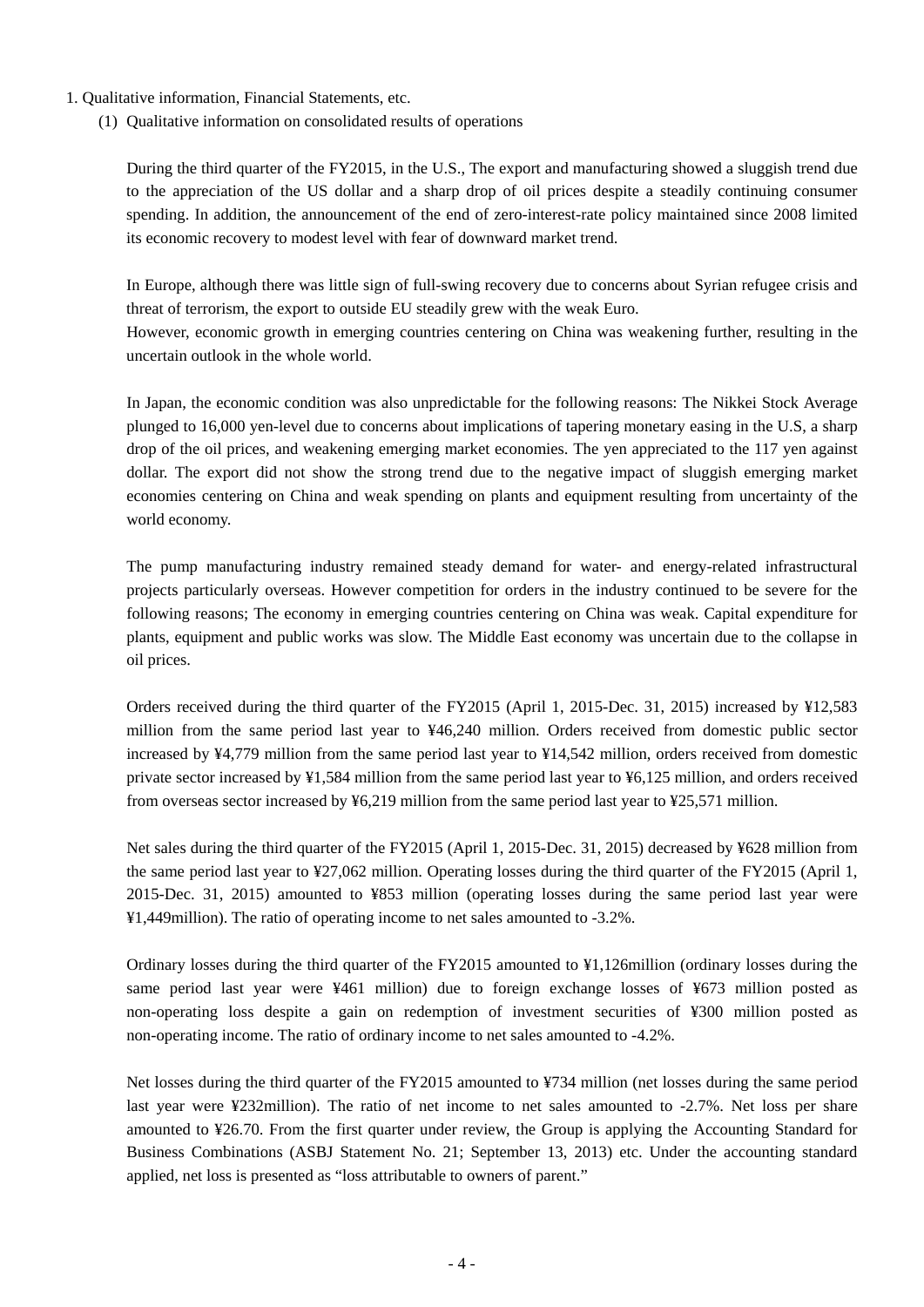- 1. Qualitative information, Financial Statements, etc.
	- (1) Qualitative information on consolidated results of operations

During the third quarter of the FY2015, in the U.S., The export and manufacturing showed a sluggish trend due to the appreciation of the US dollar and a sharp drop of oil prices despite a steadily continuing consumer spending. In addition, the announcement of the end of zero-interest-rate policy maintained since 2008 limited its economic recovery to modest level with fear of downward market trend.

In Europe, although there was little sign of full-swing recovery due to concerns about Syrian refugee crisis and threat of terrorism, the export to outside EU steadily grew with the weak Euro. However, economic growth in emerging countries centering on China was weakening further, resulting in the uncertain outlook in the whole world.

In Japan, the economic condition was also unpredictable for the following reasons: The Nikkei Stock Average plunged to 16,000 yen-level due to concerns about implications of tapering monetary easing in the U.S, a sharp drop of the oil prices, and weakening emerging market economies. The yen appreciated to the 117 yen against dollar. The export did not show the strong trend due to the negative impact of sluggish emerging market economies centering on China and weak spending on plants and equipment resulting from uncertainty of the world economy.

The pump manufacturing industry remained steady demand for water- and energy-related infrastructural projects particularly overseas. However competition for orders in the industry continued to be severe for the following reasons; The economy in emerging countries centering on China was weak. Capital expenditure for plants, equipment and public works was slow. The Middle East economy was uncertain due to the collapse in oil prices.

Orders received during the third quarter of the FY2015 (April 1, 2015-Dec. 31, 2015) increased by ¥12,583 million from the same period last year to ¥46,240 million. Orders received from domestic public sector increased by ¥4,779 million from the same period last year to ¥14,542 million, orders received from domestic private sector increased by ¥1,584 million from the same period last year to ¥6,125 million, and orders received from overseas sector increased by  $\frac{1}{26}$ ,  $\frac{219}{21}$  million from the same period last year to  $\frac{1}{25}$ ,  $\frac{571}{27}$  million.

Net sales during the third quarter of the FY2015 (April 1, 2015-Dec. 31, 2015) decreased by ¥628 million from the same period last year to ¥27,062 million. Operating losses during the third quarter of the FY2015 (April 1, 2015-Dec. 31, 2015) amounted to ¥853 million (operating losses during the same period last year were ¥1,449million). The ratio of operating income to net sales amounted to -3.2%.

Ordinary losses during the third quarter of the FY2015 amounted to ¥1,126million (ordinary losses during the same period last year were ¥461 million) due to foreign exchange losses of ¥673 million posted as non-operating loss despite a gain on redemption of investment securities of ¥300 million posted as non-operating income. The ratio of ordinary income to net sales amounted to -4.2%.

Net losses during the third quarter of the FY2015 amounted to ¥734 million (net losses during the same period last year were ¥232million). The ratio of net income to net sales amounted to -2.7%. Net loss per share amounted to ¥26.70. From the first quarter under review, the Group is applying the Accounting Standard for Business Combinations (ASBJ Statement No. 21; September 13, 2013) etc. Under the accounting standard applied, net loss is presented as "loss attributable to owners of parent."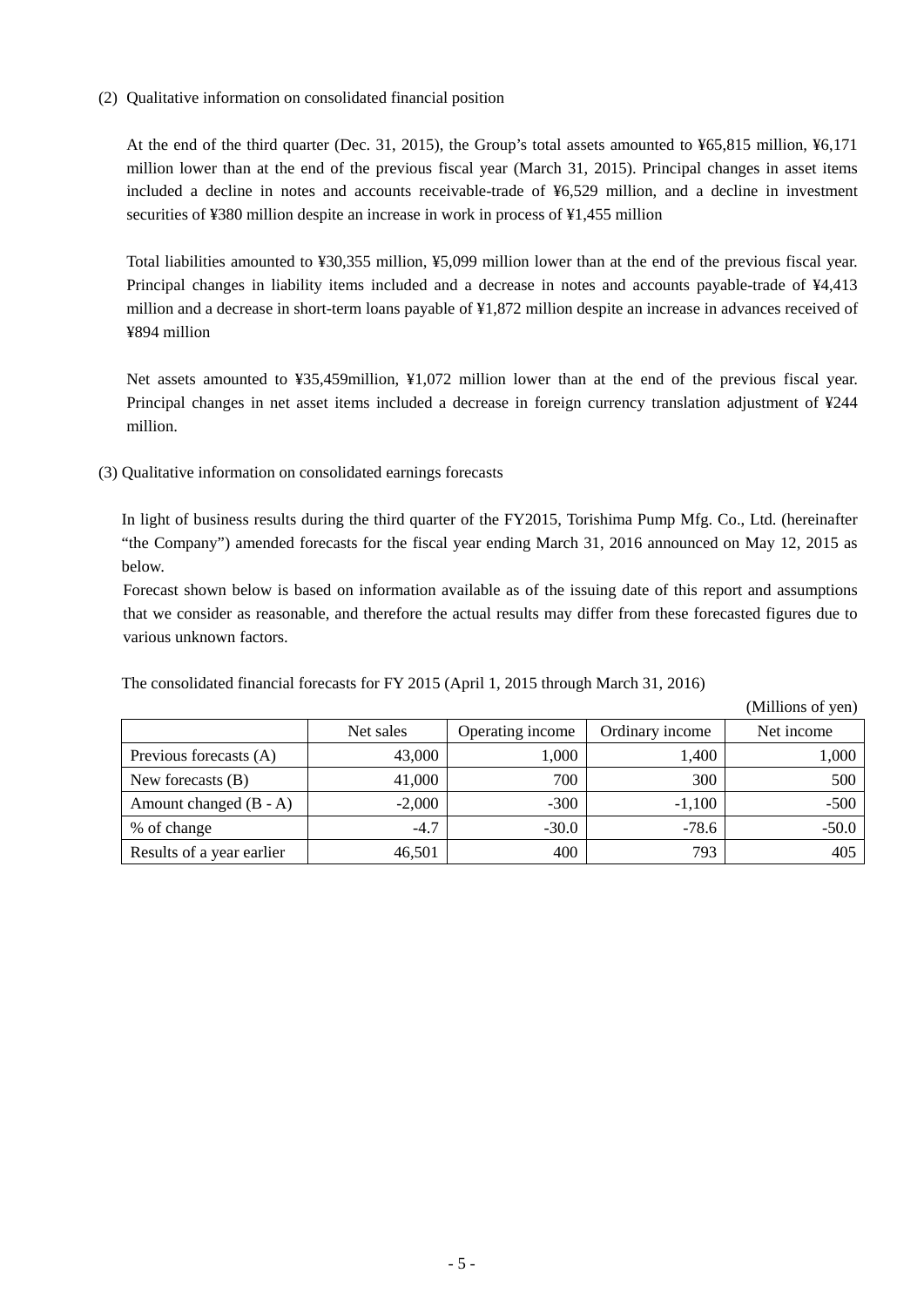(2) Qualitative information on consolidated financial position

At the end of the third quarter (Dec. 31, 2015), the Group's total assets amounted to ¥65,815 million, ¥6,171 million lower than at the end of the previous fiscal year (March 31, 2015). Principal changes in asset items included a decline in notes and accounts receivable-trade of ¥6,529 million, and a decline in investment securities of ¥380 million despite an increase in work in process of ¥1,455 million

Total liabilities amounted to ¥30,355 million, ¥5,099 million lower than at the end of the previous fiscal year. Principal changes in liability items included and a decrease in notes and accounts payable-trade of ¥4,413 million and a decrease in short-term loans payable of ¥1,872 million despite an increase in advances received of ¥894 million

Net assets amounted to ¥35,459million, ¥1,072 million lower than at the end of the previous fiscal year. Principal changes in net asset items included a decrease in foreign currency translation adjustment of ¥244 million.

(3) Qualitative information on consolidated earnings forecasts

In light of business results during the third quarter of the FY2015, Torishima Pump Mfg. Co., Ltd. (hereinafter "the Company") amended forecasts for the fiscal year ending March 31, 2016 announced on May 12, 2015 as below.

Forecast shown below is based on information available as of the issuing date of this report and assumptions that we consider as reasonable, and therefore the actual results may differ from these forecasted figures due to various unknown factors.

The consolidated financial forecasts for FY 2015 (April 1, 2015 through March 31, 2016)

(Millions of yen)

|                           |           |                  |                 | (1)        |
|---------------------------|-----------|------------------|-----------------|------------|
|                           | Net sales | Operating income | Ordinary income | Net income |
| Previous forecasts (A)    | 43,000    | 000,1            | 1,400           | 1,000      |
| New forecasts $(B)$       | 41,000    | 700              | 300             | 500        |
| Amount changed $(B - A)$  | $-2,000$  | $-300$           | $-1,100$        | $-500$     |
| % of change               | $-4.7$    | $-30.0$          | $-78.6$         | $-50.0$    |
| Results of a year earlier | 46,501    | 400              | 793             | 405        |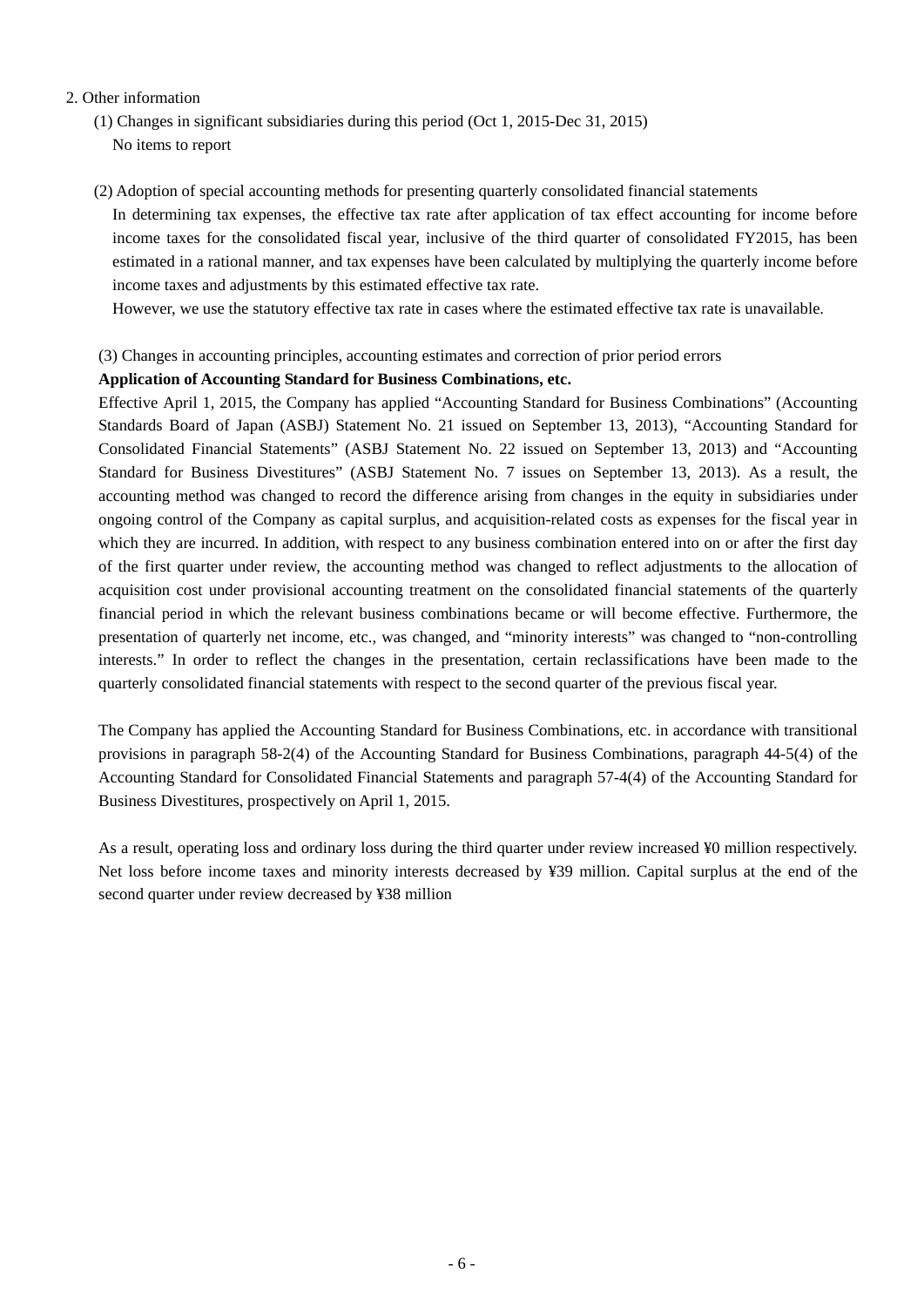### 2. Other information

- (1) Changes in significant subsidiaries during this period (Oct 1, 2015-Dec 31, 2015) No items to report
- (2) Adoption of special accounting methods for presenting quarterly consolidated financial statements In determining tax expenses, the effective tax rate after application of tax effect accounting for income before income taxes for the consolidated fiscal year, inclusive of the third quarter of consolidated FY2015, has been estimated in a rational manner, and tax expenses have been calculated by multiplying the quarterly income before income taxes and adjustments by this estimated effective tax rate.

However, we use the statutory effective tax rate in cases where the estimated effective tax rate is unavailable.

#### (3) Changes in accounting principles, accounting estimates and correction of prior period errors

#### **Application of Accounting Standard for Business Combinations, etc.**

Effective April 1, 2015, the Company has applied "Accounting Standard for Business Combinations" (Accounting Standards Board of Japan (ASBJ) Statement No. 21 issued on September 13, 2013), "Accounting Standard for Consolidated Financial Statements" (ASBJ Statement No. 22 issued on September 13, 2013) and "Accounting Standard for Business Divestitures" (ASBJ Statement No. 7 issues on September 13, 2013). As a result, the accounting method was changed to record the difference arising from changes in the equity in subsidiaries under ongoing control of the Company as capital surplus, and acquisition-related costs as expenses for the fiscal year in which they are incurred. In addition, with respect to any business combination entered into on or after the first day of the first quarter under review, the accounting method was changed to reflect adjustments to the allocation of acquisition cost under provisional accounting treatment on the consolidated financial statements of the quarterly financial period in which the relevant business combinations became or will become effective. Furthermore, the presentation of quarterly net income, etc., was changed, and "minority interests" was changed to "non-controlling interests." In order to reflect the changes in the presentation, certain reclassifications have been made to the quarterly consolidated financial statements with respect to the second quarter of the previous fiscal year.

The Company has applied the Accounting Standard for Business Combinations, etc. in accordance with transitional provisions in paragraph 58-2(4) of the Accounting Standard for Business Combinations, paragraph 44-5(4) of the Accounting Standard for Consolidated Financial Statements and paragraph 57-4(4) of the Accounting Standard for Business Divestitures, prospectively on April 1, 2015.

As a result, operating loss and ordinary loss during the third quarter under review increased ¥0 million respectively. Net loss before income taxes and minority interests decreased by ¥39 million. Capital surplus at the end of the second quarter under review decreased by ¥38 million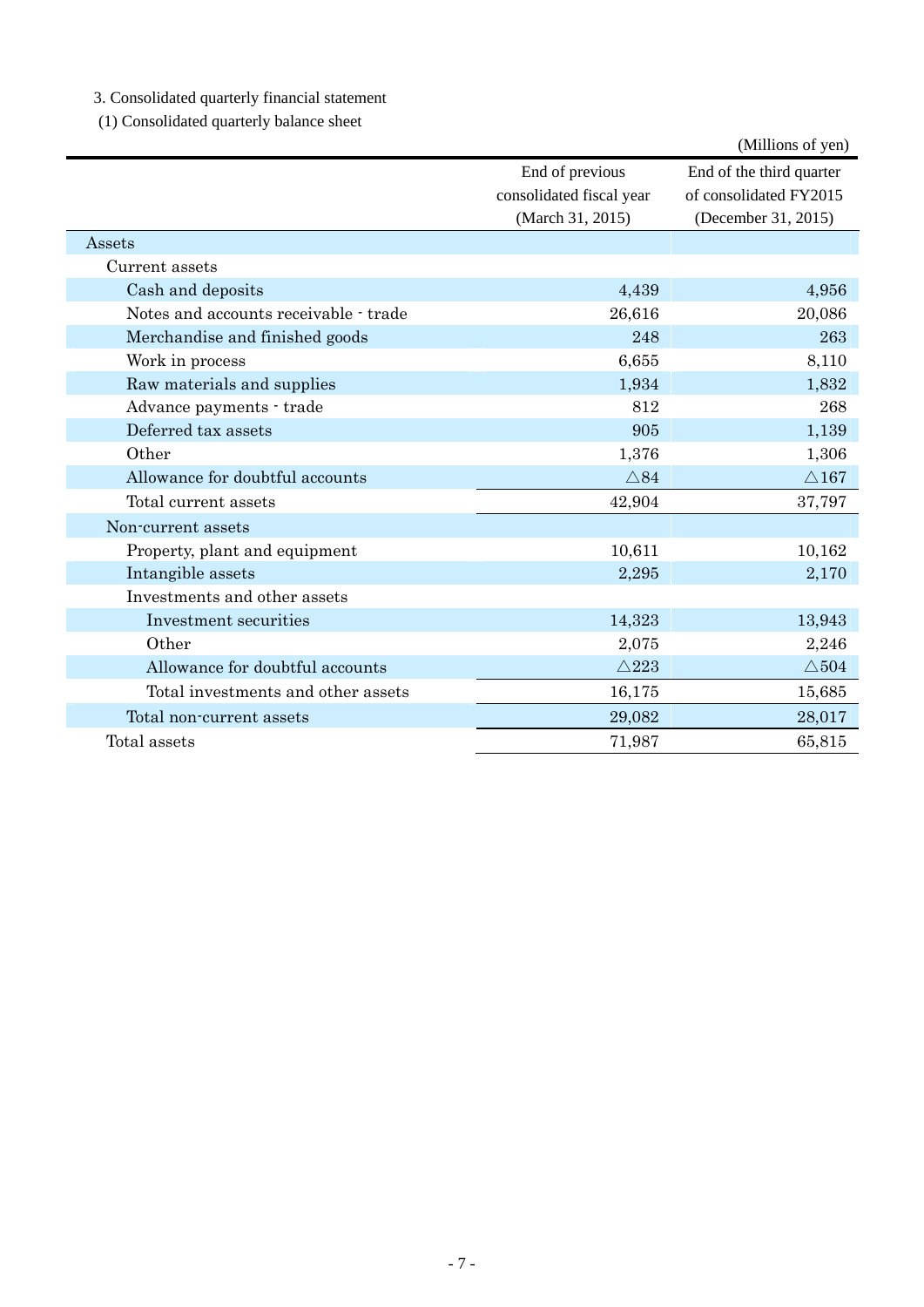3. Consolidated quarterly financial statement

(1) Consolidated quarterly balance sheet

|                                       |                                             | (Millions of yen)                                  |
|---------------------------------------|---------------------------------------------|----------------------------------------------------|
|                                       | End of previous<br>consolidated fiscal year | End of the third quarter<br>of consolidated FY2015 |
|                                       | (March 31, 2015)                            | (December 31, 2015)                                |
| Assets                                |                                             |                                                    |
| Current assets                        |                                             |                                                    |
| Cash and deposits                     | 4,439                                       | 4,956                                              |
| Notes and accounts receivable - trade | 26,616                                      | 20,086                                             |
| Merchandise and finished goods        | 248                                         | 263                                                |
| Work in process                       | 6,655                                       | 8,110                                              |
| Raw materials and supplies            | 1,934                                       | 1,832                                              |
| Advance payments - trade              | 812                                         | 268                                                |
| Deferred tax assets                   | 905                                         | 1,139                                              |
| Other                                 | 1,376                                       | 1,306                                              |
| Allowance for doubtful accounts       | $\triangle 84$                              | $\triangle$ 167                                    |
| Total current assets                  | 42,904                                      | 37,797                                             |
| Non-current assets                    |                                             |                                                    |
| Property, plant and equipment         | 10,611                                      | 10,162                                             |
| Intangible assets                     | 2,295                                       | 2,170                                              |
| Investments and other assets          |                                             |                                                    |
| Investment securities                 | 14,323                                      | 13,943                                             |
| Other                                 | 2,075                                       | 2,246                                              |
| Allowance for doubtful accounts       | $\triangle 223$                             | $\triangle$ 504                                    |
| Total investments and other assets    | 16,175                                      | 15,685                                             |
| Total non-current assets              | 29,082                                      | 28,017                                             |
| Total assets                          | 71,987                                      | 65,815                                             |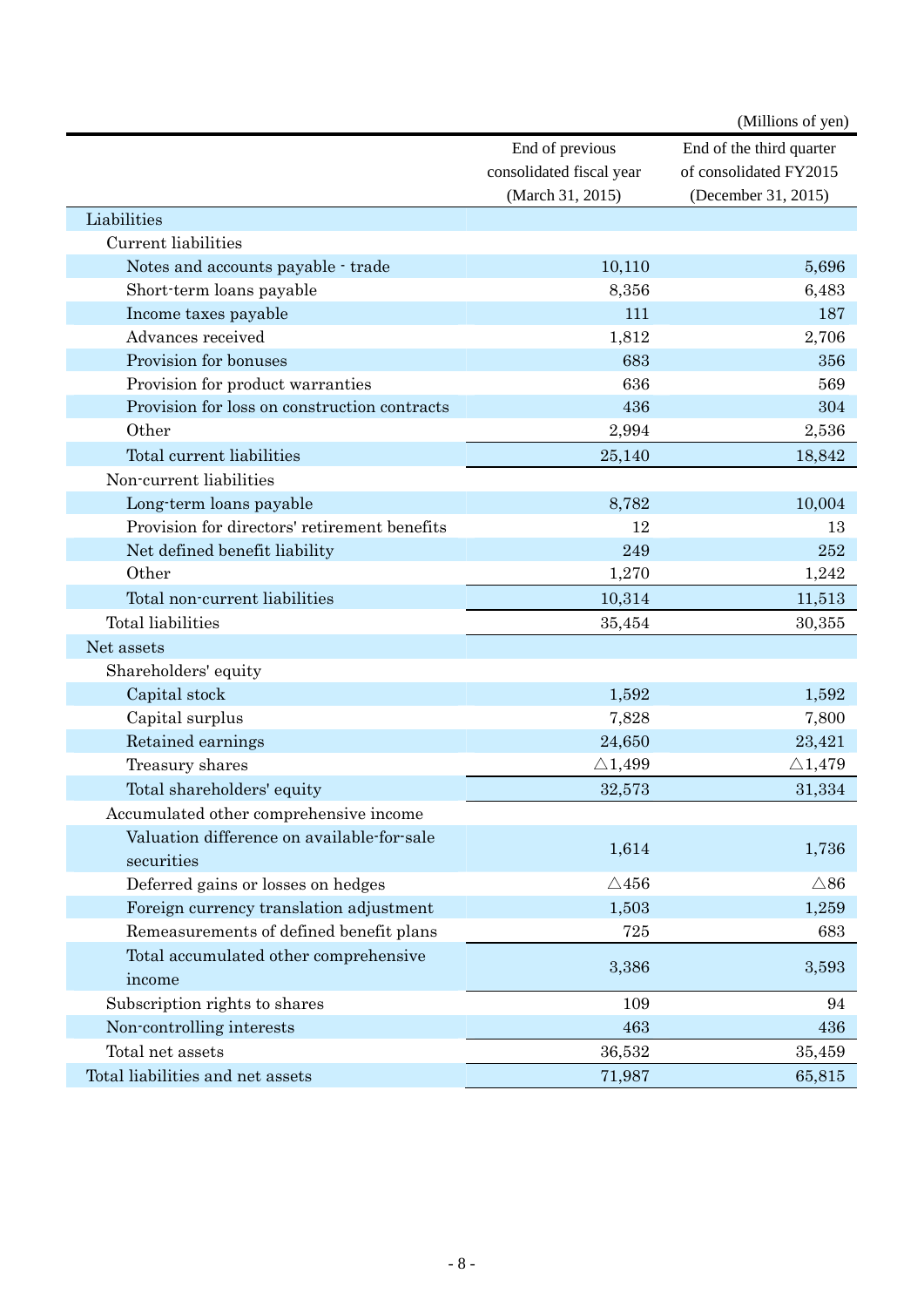|                                              |                          | (Millions of yen)        |
|----------------------------------------------|--------------------------|--------------------------|
|                                              | End of previous          | End of the third quarter |
|                                              | consolidated fiscal year | of consolidated FY2015   |
|                                              | (March 31, 2015)         | (December 31, 2015)      |
| Liabilities                                  |                          |                          |
| Current liabilities                          |                          |                          |
| Notes and accounts payable - trade           | 10,110                   | 5,696                    |
| Short-term loans payable                     | 8,356                    | 6,483                    |
| Income taxes payable                         | 111                      | 187                      |
| Advances received                            | 1,812                    | 2,706                    |
| Provision for bonuses                        | 683                      | 356                      |
| Provision for product warranties             | 636                      | 569                      |
| Provision for loss on construction contracts | 436                      | 304                      |
| Other                                        | 2,994                    | 2,536                    |
| Total current liabilities                    | 25,140                   | 18,842                   |
| Non-current liabilities                      |                          |                          |
| Long-term loans payable                      | 8,782                    | 10,004                   |
| Provision for directors' retirement benefits | 12                       | 13                       |
| Net defined benefit liability                | 249                      | 252                      |
| Other                                        | 1,270                    | 1,242                    |
| Total non-current liabilities                | 10,314                   | 11,513                   |
| Total liabilities                            | 35,454                   | 30,355                   |
| Net assets                                   |                          |                          |
| Shareholders' equity                         |                          |                          |
| Capital stock                                | 1,592                    | 1,592                    |
| Capital surplus                              | 7,828                    | 7,800                    |
| Retained earnings                            | 24,650                   | 23,421                   |
| Treasury shares                              | $\triangle$ 1,499        | $\triangle 1,479$        |
| Total shareholders' equity                   | 32,573                   | 31,334                   |
| Accumulated other comprehensive income       |                          |                          |
| Valuation difference on available-for-sale   |                          |                          |
| securities                                   | 1,614                    | 1,736                    |
| Deferred gains or losses on hedges           | $\triangle 456$          | $\triangle 86$           |
| Foreign currency translation adjustment      | 1,503                    | 1,259                    |
| Remeasurements of defined benefit plans      | 725                      | 683                      |
| Total accumulated other comprehensive        |                          |                          |
| income                                       | 3,386                    | 3,593                    |
| Subscription rights to shares                | 109                      | 94                       |
| Non-controlling interests                    | 463                      | 436                      |
| Total net assets                             | 36,532                   | 35,459                   |
| Total liabilities and net assets             | 71,987                   | 65,815                   |
|                                              |                          |                          |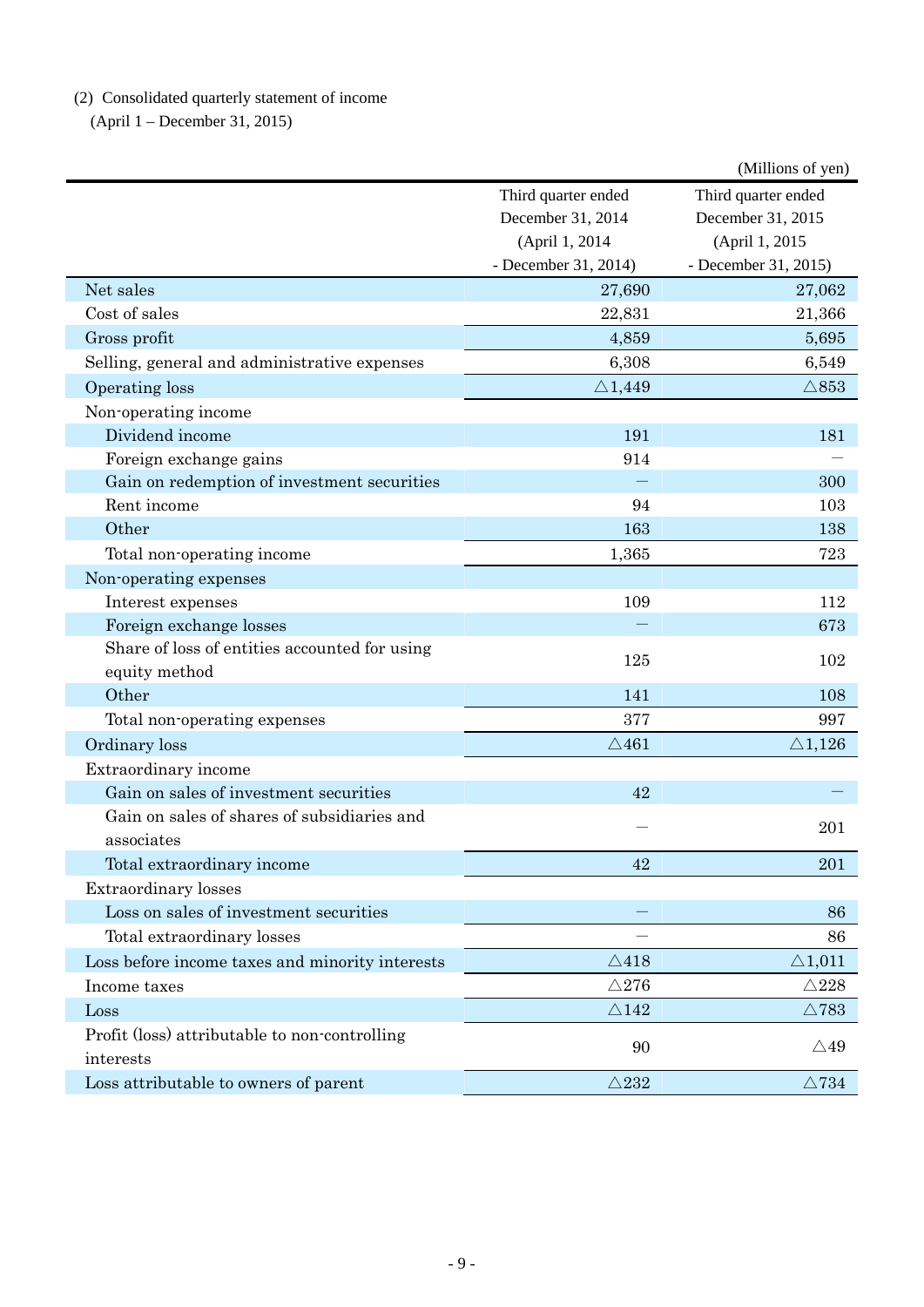(2) Consolidated quarterly statement of income

(April 1 – December 31, 2015)

|                                                 |                      | (Millions of yen)    |
|-------------------------------------------------|----------------------|----------------------|
|                                                 | Third quarter ended  | Third quarter ended  |
|                                                 | December 31, 2014    | December 31, 2015    |
|                                                 | (April 1, 2014       | (April 1, 2015       |
|                                                 | - December 31, 2014) | - December 31, 2015) |
| Net sales                                       | 27,690               | 27,062               |
| Cost of sales                                   | 22,831               | 21,366               |
| Gross profit                                    | 4,859                | 5,695                |
| Selling, general and administrative expenses    | 6,308                | 6,549                |
| Operating loss                                  | $\triangle$ 1,449    | $\triangle 853$      |
| Non-operating income                            |                      |                      |
| Dividend income                                 | 191                  | 181                  |
| Foreign exchange gains                          | 914                  |                      |
| Gain on redemption of investment securities     |                      | 300                  |
| Rent income                                     | 94                   | 103                  |
| Other                                           | 163                  | 138                  |
| Total non-operating income                      | 1,365                | 723                  |
| Non-operating expenses                          |                      |                      |
| Interest expenses                               | 109                  | 112                  |
| Foreign exchange losses                         |                      | 673                  |
| Share of loss of entities accounted for using   | 125                  | 102                  |
| equity method                                   |                      |                      |
| Other                                           | 141                  | 108                  |
| Total non-operating expenses                    | 377                  | 997                  |
| Ordinary loss                                   | $\triangle$ 461      | $\triangle 1,126$    |
| Extraordinary income                            |                      |                      |
| Gain on sales of investment securities          | 42                   |                      |
| Gain on sales of shares of subsidiaries and     |                      | 201                  |
| associates                                      |                      |                      |
| Total extraordinary income                      | 42                   | 201                  |
| <b>Extraordinary losses</b>                     |                      |                      |
| Loss on sales of investment securities          |                      | 86                   |
| Total extraordinary losses                      |                      | 86                   |
| Loss before income taxes and minority interests | $\triangle$ 418      | $\triangle$ 1,011    |
| Income taxes                                    | $\triangle$ 276      | $\triangle$ 228      |
| Loss                                            | $\triangle 142$      | $\triangle$ 783      |
| Profit (loss) attributable to non-controlling   |                      |                      |
| interests                                       | 90                   | $\triangle 49$       |
| Loss attributable to owners of parent           | $\triangle 232$      | $\triangle 734$      |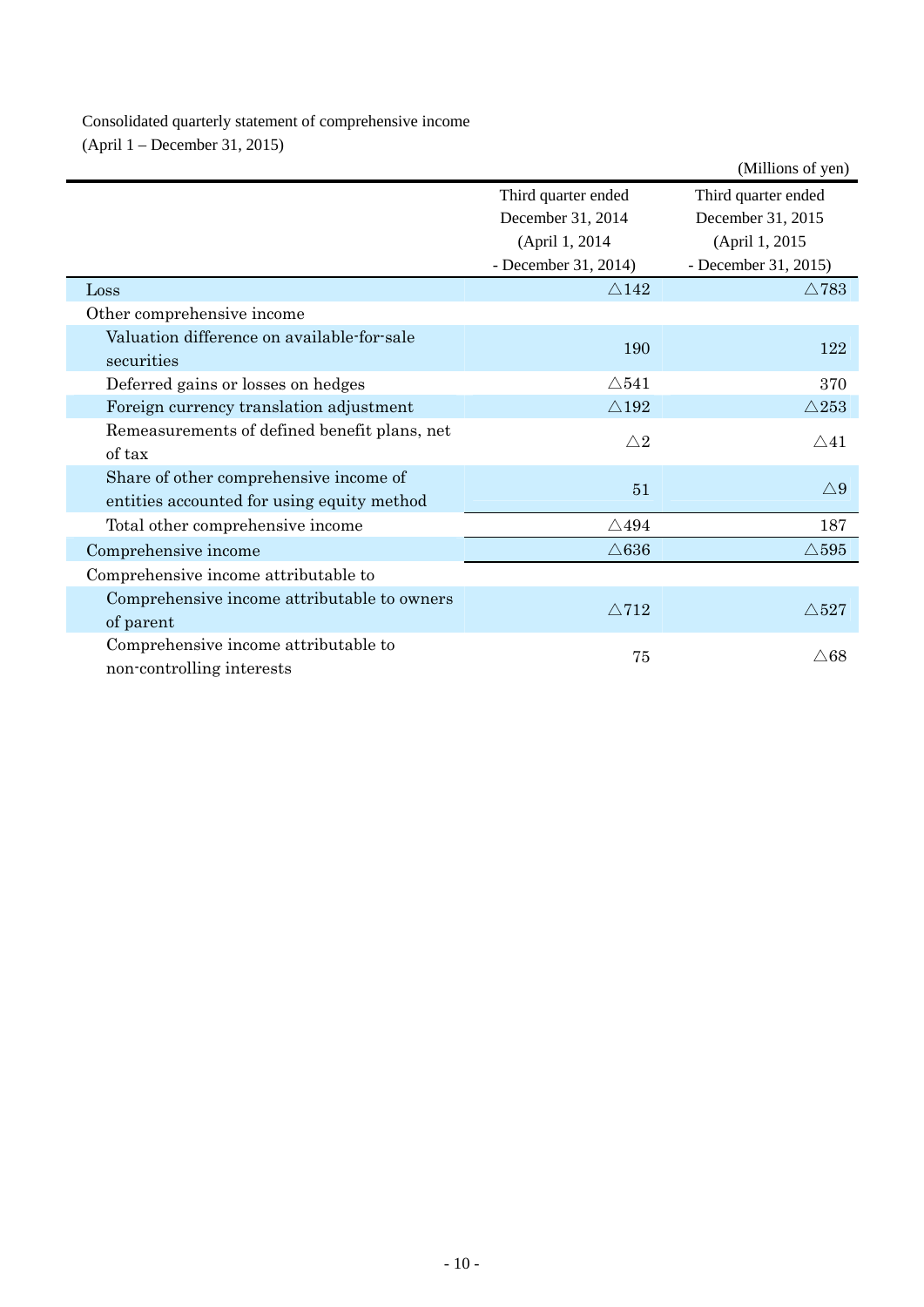Consolidated quarterly statement of comprehensive income (April 1 – December 31, 2015)

|                                                                                      |                      | (Millions of yen)    |
|--------------------------------------------------------------------------------------|----------------------|----------------------|
|                                                                                      | Third quarter ended  | Third quarter ended  |
|                                                                                      | December 31, 2014    | December 31, 2015    |
|                                                                                      | (April 1, 2014       | (April 1, 2015)      |
|                                                                                      | - December 31, 2014) | - December 31, 2015) |
| Loss                                                                                 | $\triangle$ 142      | $\triangle$ 783      |
| Other comprehensive income                                                           |                      |                      |
| Valuation difference on available-for-sale                                           | 190                  | 122                  |
| securities                                                                           |                      |                      |
| Deferred gains or losses on hedges                                                   | $\triangle$ 541      | 370                  |
| Foreign currency translation adjustment                                              | $\triangle 192$      | $\triangle 253$      |
| Remeasurements of defined benefit plans, net<br>of tax                               | $\triangle 2$        | $\triangle 41$       |
| Share of other comprehensive income of<br>entities accounted for using equity method | 51                   | $\triangle 9$        |
| Total other comprehensive income                                                     | $\triangle 494$      | 187                  |
| Comprehensive income                                                                 | $\triangle 636$      | $\triangle$ 595      |
| Comprehensive income attributable to                                                 |                      |                      |
| Comprehensive income attributable to owners<br>of parent                             | $\triangle$ 712      | $\triangle 527$      |
| Comprehensive income attributable to                                                 |                      |                      |
| non-controlling interests                                                            | 75                   | $\triangle68$        |